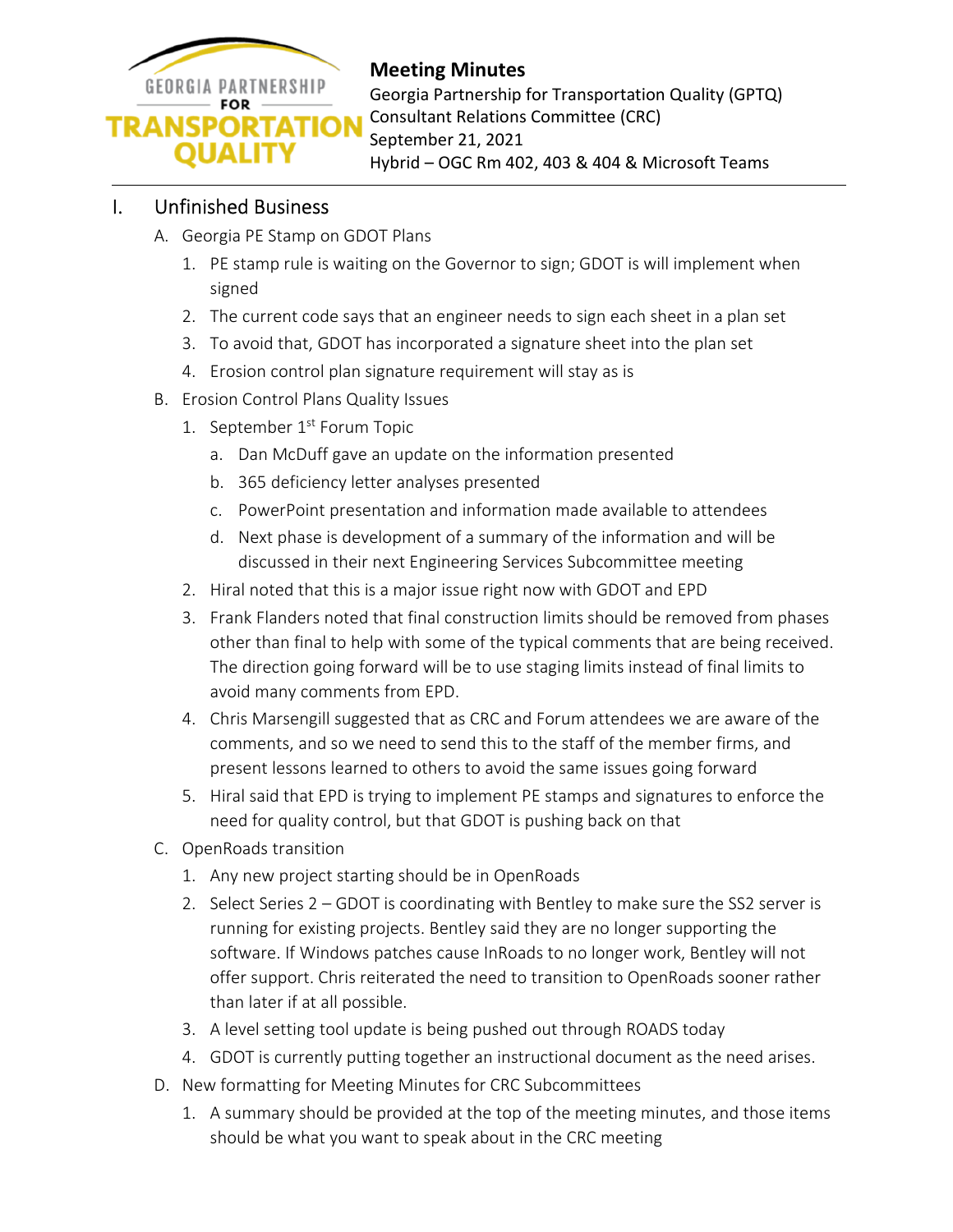

## **Meeting Minutes**

Georgia Partnership for Transportation Quality (GPTQ) Consultant Relations Committee (CRC) September 21, 2021 Hybrid – OGC Rm 402, 403 & 404 & Microsoft Teams

## I. Unfinished Business

- A. Georgia PE Stamp on GDOT Plans
	- 1. PE stamp rule is waiting on the Governor to sign; GDOT is will implement when signed
	- 2. The current code says that an engineer needs to sign each sheet in a plan set
	- 3. To avoid that, GDOT has incorporated a signature sheet into the plan set
	- 4. Erosion control plan signature requirement will stay as is
- B. Erosion Control Plans Quality Issues
	- 1. September 1<sup>st</sup> Forum Topic
		- a. Dan McDuff gave an update on the information presented
		- b. 365 deficiency letter analyses presented
		- c. PowerPoint presentation and information made available to attendees
		- d. Next phase is development of a summary of the information and will be discussed in their next Engineering Services Subcommittee meeting
	- 2. Hiral noted that this is a major issue right now with GDOT and EPD
	- 3. Frank Flanders noted that final construction limits should be removed from phases other than final to help with some of the typical comments that are being received. The direction going forward will be to use staging limits instead of final limits to avoid many comments from EPD.
	- 4. Chris Marsengill suggested that as CRC and Forum attendees we are aware of the comments, and so we need to send this to the staff of the member firms, and present lessons learned to others to avoid the same issues going forward
	- 5. Hiral said that EPD is trying to implement PE stamps and signatures to enforce the need for quality control, but that GDOT is pushing back on that
- C. OpenRoads transition
	- 1. Any new project starting should be in OpenRoads
	- 2. Select Series 2 GDOT is coordinating with Bentley to make sure the SS2 server is running for existing projects. Bentley said they are no longer supporting the software. If Windows patches cause InRoads to no longer work, Bentley will not offer support. Chris reiterated the need to transition to OpenRoads sooner rather than later if at all possible.
	- 3. A level setting tool update is being pushed out through ROADS today
	- 4. GDOT is currently putting together an instructional document as the need arises.
- D. New formatting for Meeting Minutes for CRC Subcommittees
	- 1. A summary should be provided at the top of the meeting minutes, and those items should be what you want to speak about in the CRC meeting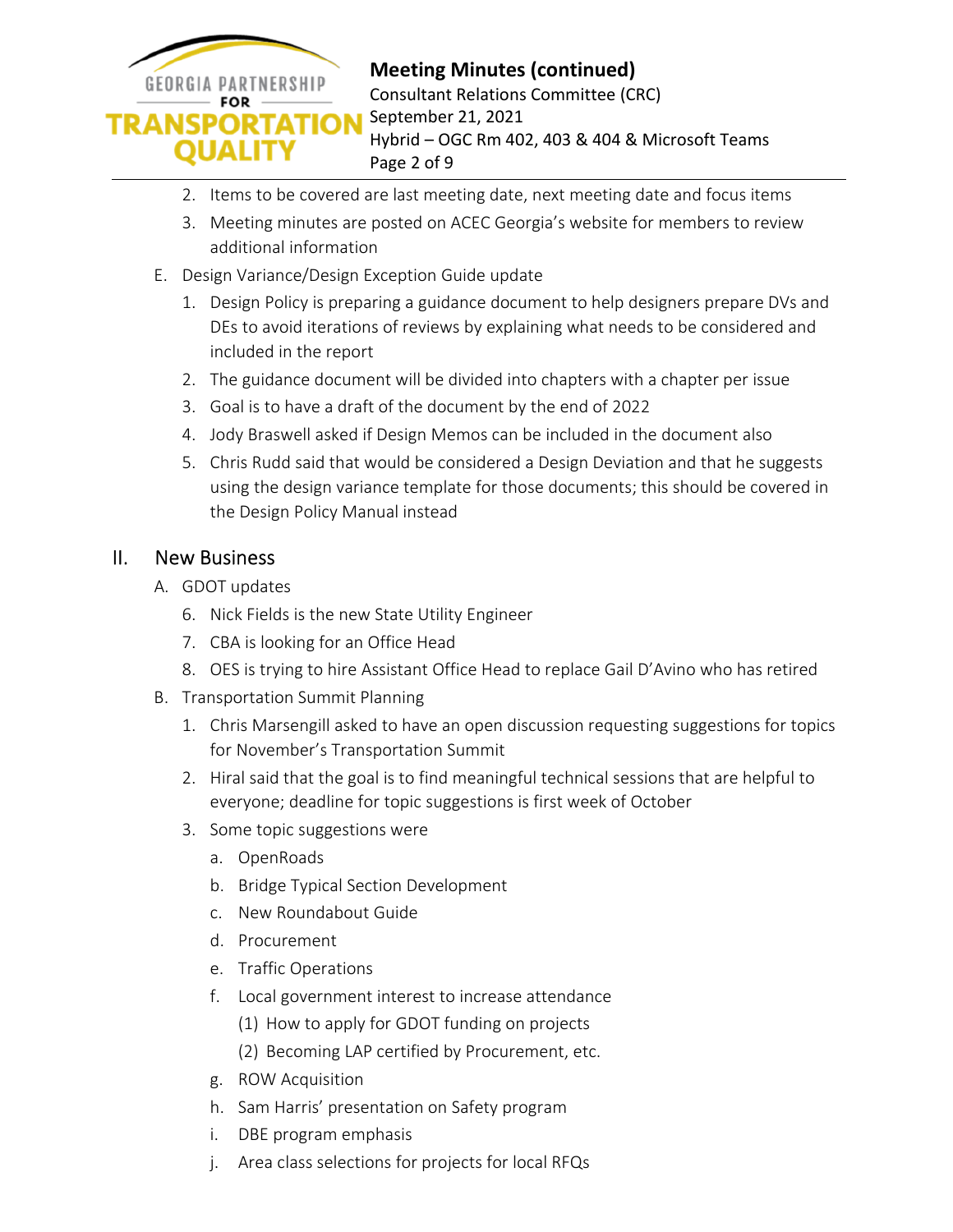

- 2. Items to be covered are last meeting date, next meeting date and focus items
- 3. Meeting minutes are posted on ACEC Georgia's website for members to review additional information
- E. Design Variance/Design Exception Guide update
	- 1. Design Policy is preparing a guidance document to help designers prepare DVs and DEs to avoid iterations of reviews by explaining what needs to be considered and included in the report
	- 2. The guidance document will be divided into chapters with a chapter per issue
	- 3. Goal is to have a draft of the document by the end of 2022
	- 4. Jody Braswell asked if Design Memos can be included in the document also
	- 5. Chris Rudd said that would be considered a Design Deviation and that he suggests using the design variance template for those documents; this should be covered in the Design Policy Manual instead

### II. New Business

- A. GDOT updates
	- 6. Nick Fields is the new State Utility Engineer
	- 7. CBA is looking for an Office Head
	- 8. OES is trying to hire Assistant Office Head to replace Gail D'Avino who has retired
- B. Transportation Summit Planning
	- 1. Chris Marsengill asked to have an open discussion requesting suggestions for topics for November's Transportation Summit
	- 2. Hiral said that the goal is to find meaningful technical sessions that are helpful to everyone; deadline for topic suggestions is first week of October
	- 3. Some topic suggestions were
		- a. OpenRoads
		- b. Bridge Typical Section Development
		- c. New Roundabout Guide
		- d. Procurement
		- e. Traffic Operations
		- f. Local government interest to increase attendance
			- (1) How to apply for GDOT funding on projects
			- (2) Becoming LAP certified by Procurement, etc.
		- g. ROW Acquisition
		- h. Sam Harris' presentation on Safety program
		- i. DBE program emphasis
		- j. Area class selections for projects for local RFQs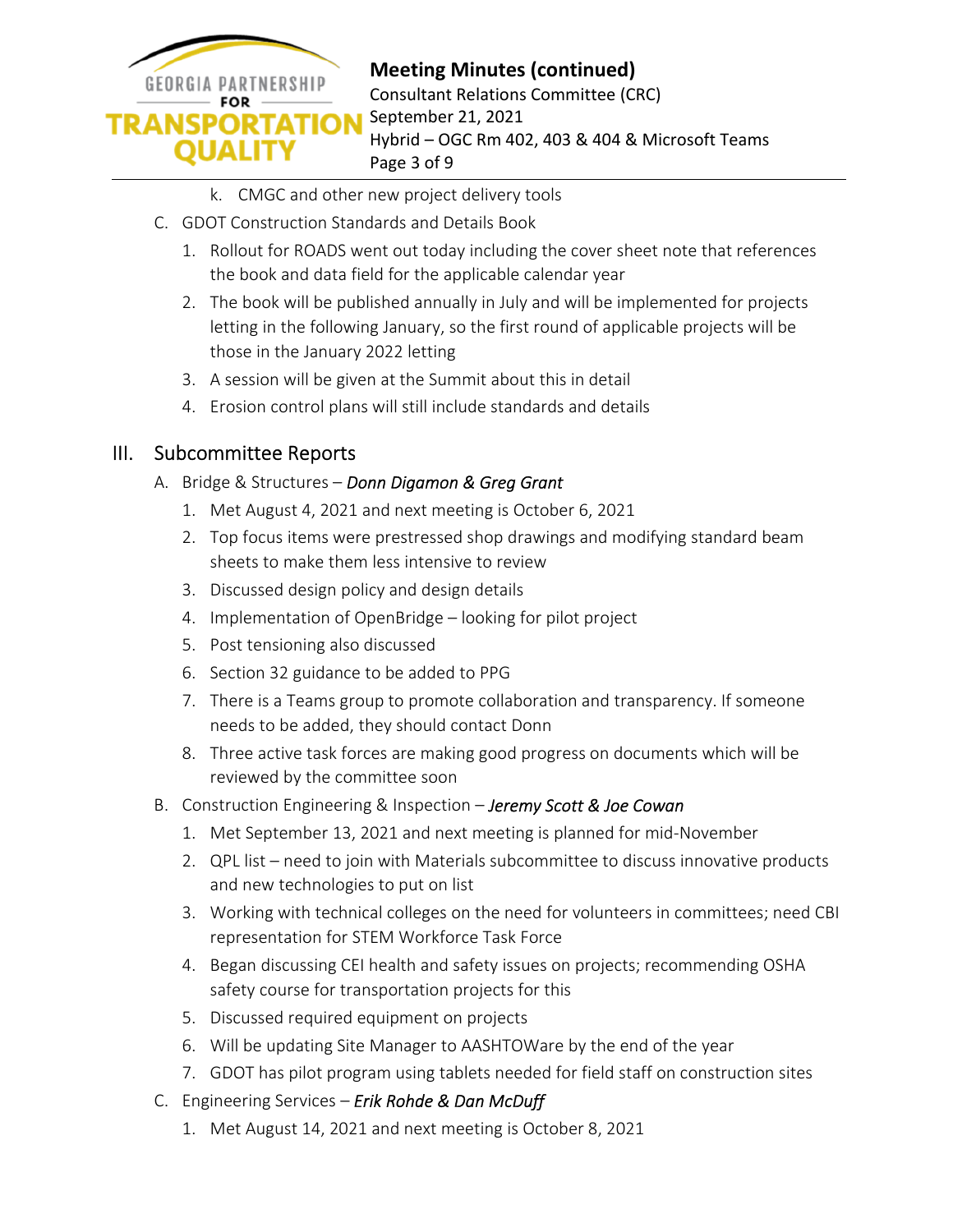

# **Meeting Minutes (continued)**

Consultant Relations Committee (CRC) September 21, 2021 Hybrid – OGC Rm 402, 403 & 404 & Microsoft Teams Page 3 of 9

- k. CMGC and other new project delivery tools
- C. GDOT Construction Standards and Details Book
	- 1. Rollout for ROADS went out today including the cover sheet note that references the book and data field for the applicable calendar year
	- 2. The book will be published annually in July and will be implemented for projects letting in the following January, so the first round of applicable projects will be those in the January 2022 letting
	- 3. A session will be given at the Summit about this in detail
	- 4. Erosion control plans will still include standards and details

### III. Subcommittee Reports

#### A. Bridge & Structures – *Donn Digamon & Greg Grant*

- 1. Met August 4, 2021 and next meeting is October 6, 2021
- 2. Top focus items were prestressed shop drawings and modifying standard beam sheets to make them less intensive to review
- 3. Discussed design policy and design details
- 4. Implementation of OpenBridge looking for pilot project
- 5. Post tensioning also discussed
- 6. Section 32 guidance to be added to PPG
- 7. There is a Teams group to promote collaboration and transparency. If someone needs to be added, they should contact Donn
- 8. Three active task forces are making good progress on documents which will be reviewed by the committee soon
- B. Construction Engineering & Inspection *Jeremy Scott & Joe Cowan* 
	- 1. Met September 13, 2021 and next meeting is planned for mid-November
	- 2. QPL list need to join with Materials subcommittee to discuss innovative products and new technologies to put on list
	- 3. Working with technical colleges on the need for volunteers in committees; need CBI representation for STEM Workforce Task Force
	- 4. Began discussing CEI health and safety issues on projects; recommending OSHA safety course for transportation projects for this
	- 5. Discussed required equipment on projects
	- 6. Will be updating Site Manager to AASHTOWare by the end of the year
	- 7. GDOT has pilot program using tablets needed for field staff on construction sites
- C. Engineering Services *Erik Rohde & Dan McDuff* 
	- 1. Met August 14, 2021 and next meeting is October 8, 2021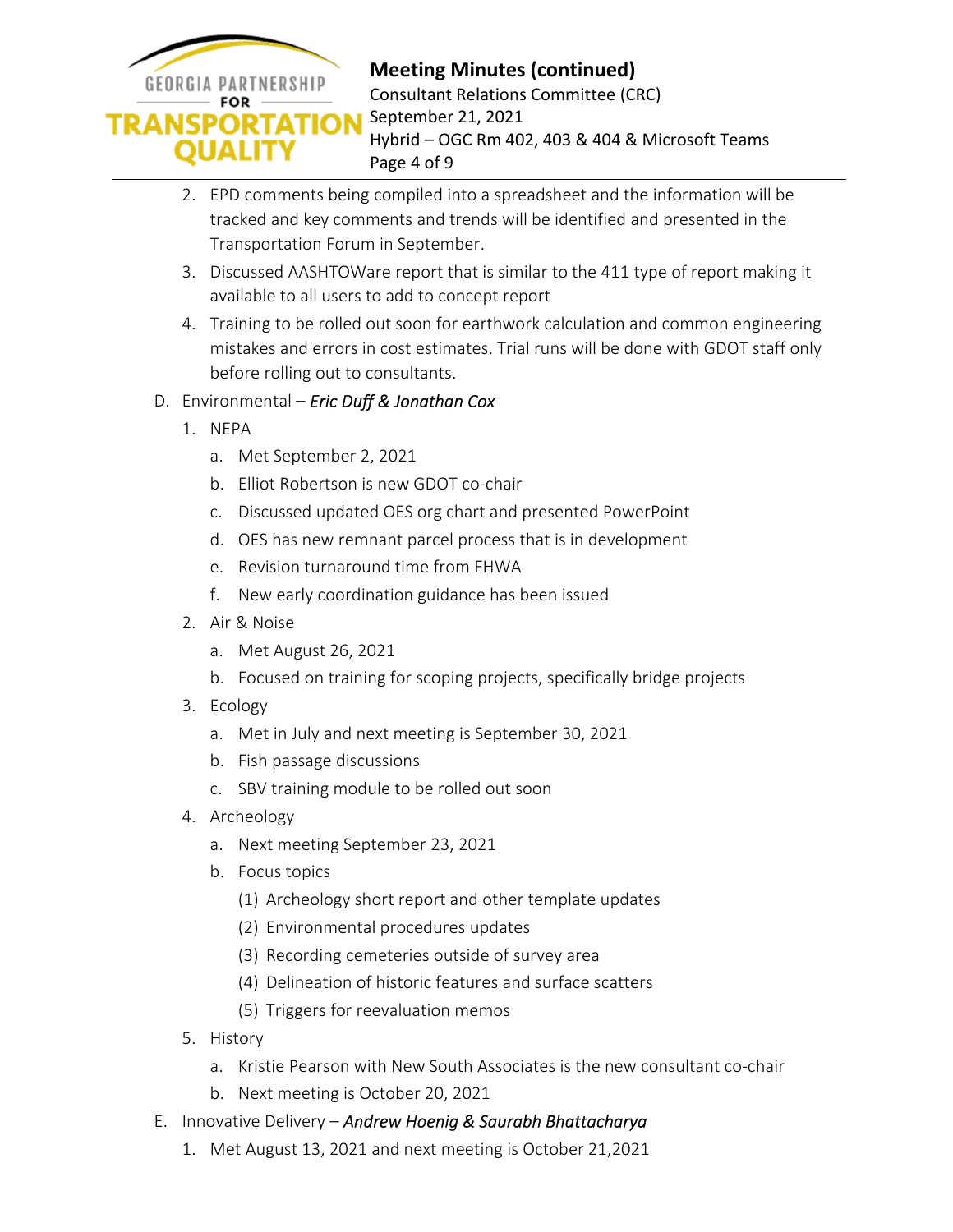

- 2. EPD comments being compiled into a spreadsheet and the information will be tracked and key comments and trends will be identified and presented in the Transportation Forum in September.
- 3. Discussed AASHTOWare report that is similar to the 411 type of report making it available to all users to add to concept report
- 4. Training to be rolled out soon for earthwork calculation and common engineering mistakes and errors in cost estimates. Trial runs will be done with GDOT staff only before rolling out to consultants.

### D. Environmental – *Eric Duff & Jonathan Cox*

- 1. NEPA
	- a. Met September 2, 2021
	- b. Elliot Robertson is new GDOT co-chair
	- c. Discussed updated OES org chart and presented PowerPoint
	- d. OES has new remnant parcel process that is in development
	- e. Revision turnaround time from FHWA
	- f. New early coordination guidance has been issued
- 2. Air & Noise
	- a. Met August 26, 2021
	- b. Focused on training for scoping projects, specifically bridge projects
- 3. Ecology
	- a. Met in July and next meeting is September 30, 2021
	- b. Fish passage discussions
	- c. SBV training module to be rolled out soon
- 4. Archeology
	- a. Next meeting September 23, 2021
	- b. Focus topics
		- (1) Archeology short report and other template updates
		- (2) Environmental procedures updates
		- (3) Recording cemeteries outside of survey area
		- (4) Delineation of historic features and surface scatters
		- (5) Triggers for reevaluation memos
- 5. History
	- a. Kristie Pearson with New South Associates is the new consultant co-chair
	- b. Next meeting is October 20, 2021
- E. Innovative Delivery *Andrew Hoenig & Saurabh Bhattacharya* 
	- 1. Met August 13, 2021 and next meeting is October 21,2021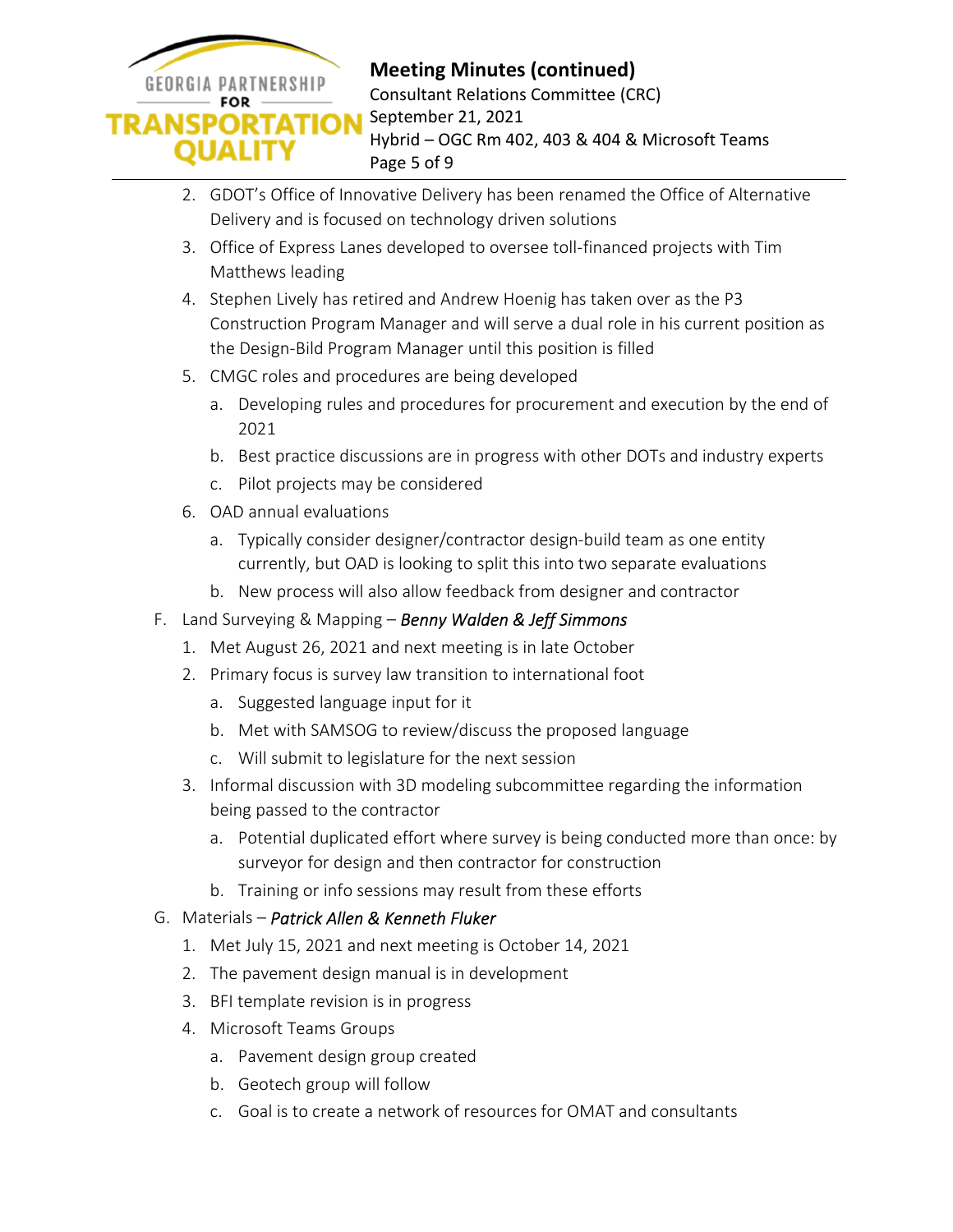

- 2. GDOT's Office of Innovative Delivery has been renamed the Office of Alternative Delivery and is focused on technology driven solutions
- 3. Office of Express Lanes developed to oversee toll-financed projects with Tim Matthews leading
- 4. Stephen Lively has retired and Andrew Hoenig has taken over as the P3 Construction Program Manager and will serve a dual role in his current position as the Design-Bild Program Manager until this position is filled
- 5. CMGC roles and procedures are being developed
	- a. Developing rules and procedures for procurement and execution by the end of 2021
	- b. Best practice discussions are in progress with other DOTs and industry experts
	- c. Pilot projects may be considered
- 6. OAD annual evaluations
	- a. Typically consider designer/contractor design-build team as one entity currently, but OAD is looking to split this into two separate evaluations
	- b. New process will also allow feedback from designer and contractor
- F. Land Surveying & Mapping *Benny Walden & Jeff Simmons* 
	- 1. Met August 26, 2021 and next meeting is in late October
	- 2. Primary focus is survey law transition to international foot
		- a. Suggested language input for it
		- b. Met with SAMSOG to review/discuss the proposed language
		- c. Will submit to legislature for the next session
	- 3. Informal discussion with 3D modeling subcommittee regarding the information being passed to the contractor
		- a. Potential duplicated effort where survey is being conducted more than once: by surveyor for design and then contractor for construction
		- b. Training or info sessions may result from these efforts
- G. Materials *Patrick Allen & Kenneth Fluker* 
	- 1. Met July 15, 2021 and next meeting is October 14, 2021
	- 2. The pavement design manual is in development
	- 3. BFI template revision is in progress
	- 4. Microsoft Teams Groups
		- a. Pavement design group created
		- b. Geotech group will follow
		- c. Goal is to create a network of resources for OMAT and consultants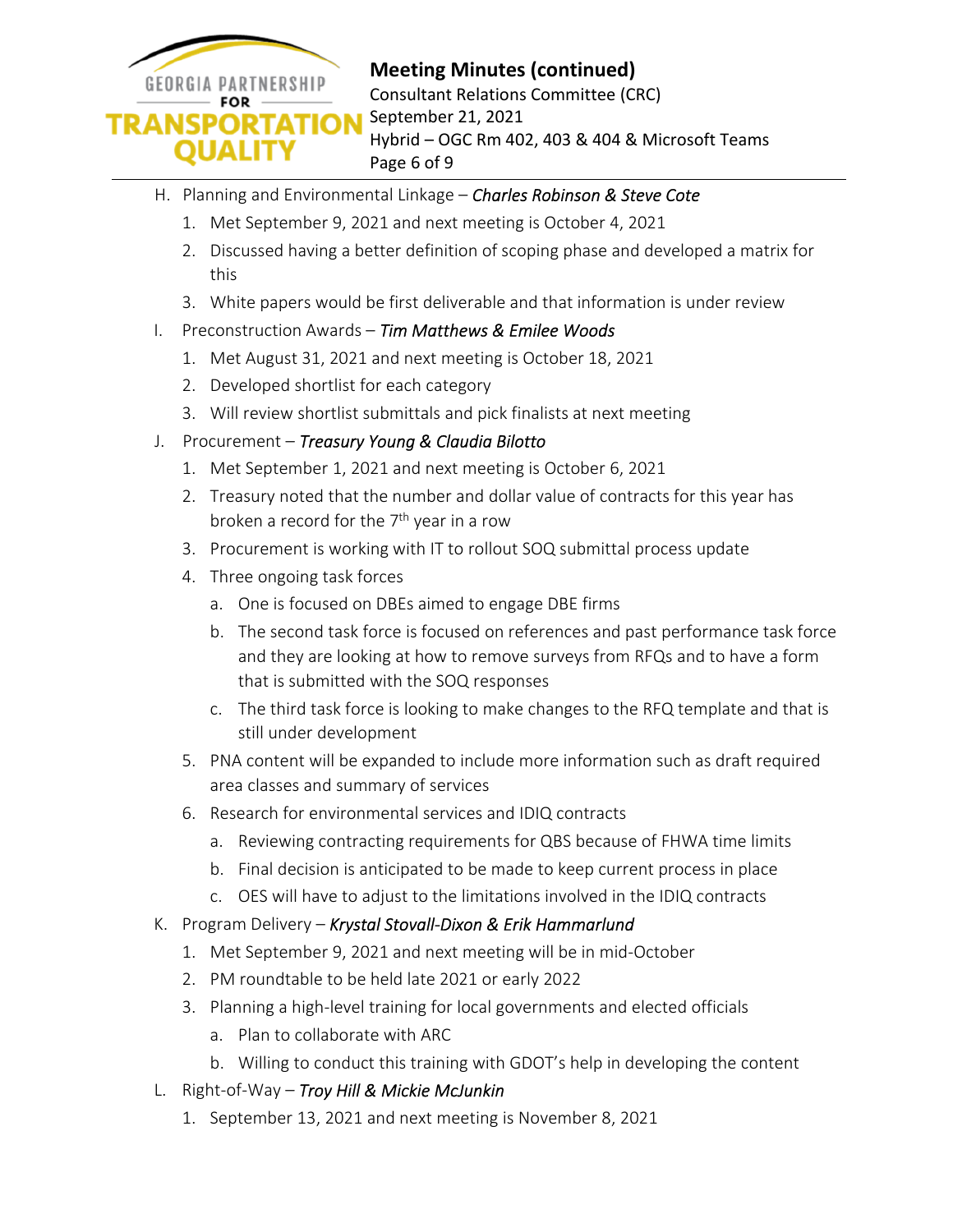

## **Meeting Minutes (continued)**

Consultant Relations Committee (CRC) September 21, 2021 Hybrid – OGC Rm 402, 403 & 404 & Microsoft Teams Page 6 of 9

- H. Planning and Environmental Linkage *Charles Robinson & Steve Cote* 
	- 1. Met September 9, 2021 and next meeting is October 4, 2021
	- 2. Discussed having a better definition of scoping phase and developed a matrix for this
	- 3. White papers would be first deliverable and that information is under review
- I. Preconstruction Awards *Tim Matthews & Emilee Woods* 
	- 1. Met August 31, 2021 and next meeting is October 18, 2021
	- 2. Developed shortlist for each category
	- 3. Will review shortlist submittals and pick finalists at next meeting
- J. Procurement *Treasury Young & Claudia Bilotto* 
	- 1. Met September 1, 2021 and next meeting is October 6, 2021
	- 2. Treasury noted that the number and dollar value of contracts for this year has broken a record for the  $7<sup>th</sup>$  year in a row
	- 3. Procurement is working with IT to rollout SOQ submittal process update
	- 4. Three ongoing task forces
		- a. One is focused on DBEs aimed to engage DBE firms
		- b. The second task force is focused on references and past performance task force and they are looking at how to remove surveys from RFQs and to have a form that is submitted with the SOQ responses
		- c. The third task force is looking to make changes to the RFQ template and that is still under development
	- 5. PNA content will be expanded to include more information such as draft required area classes and summary of services
	- 6. Research for environmental services and IDIQ contracts
		- a. Reviewing contracting requirements for QBS because of FHWA time limits
		- b. Final decision is anticipated to be made to keep current process in place
		- c. OES will have to adjust to the limitations involved in the IDIQ contracts
- K. Program Delivery *Krystal Stovall-Dixon & Erik Hammarlund* 
	- 1. Met September 9, 2021 and next meeting will be in mid-October
	- 2. PM roundtable to be held late 2021 or early 2022
	- 3. Planning a high-level training for local governments and elected officials
		- a. Plan to collaborate with ARC
		- b. Willing to conduct this training with GDOT's help in developing the content
- L. Right-of-Way *Troy Hill & Mickie McJunkin* 
	- 1. September 13, 2021 and next meeting is November 8, 2021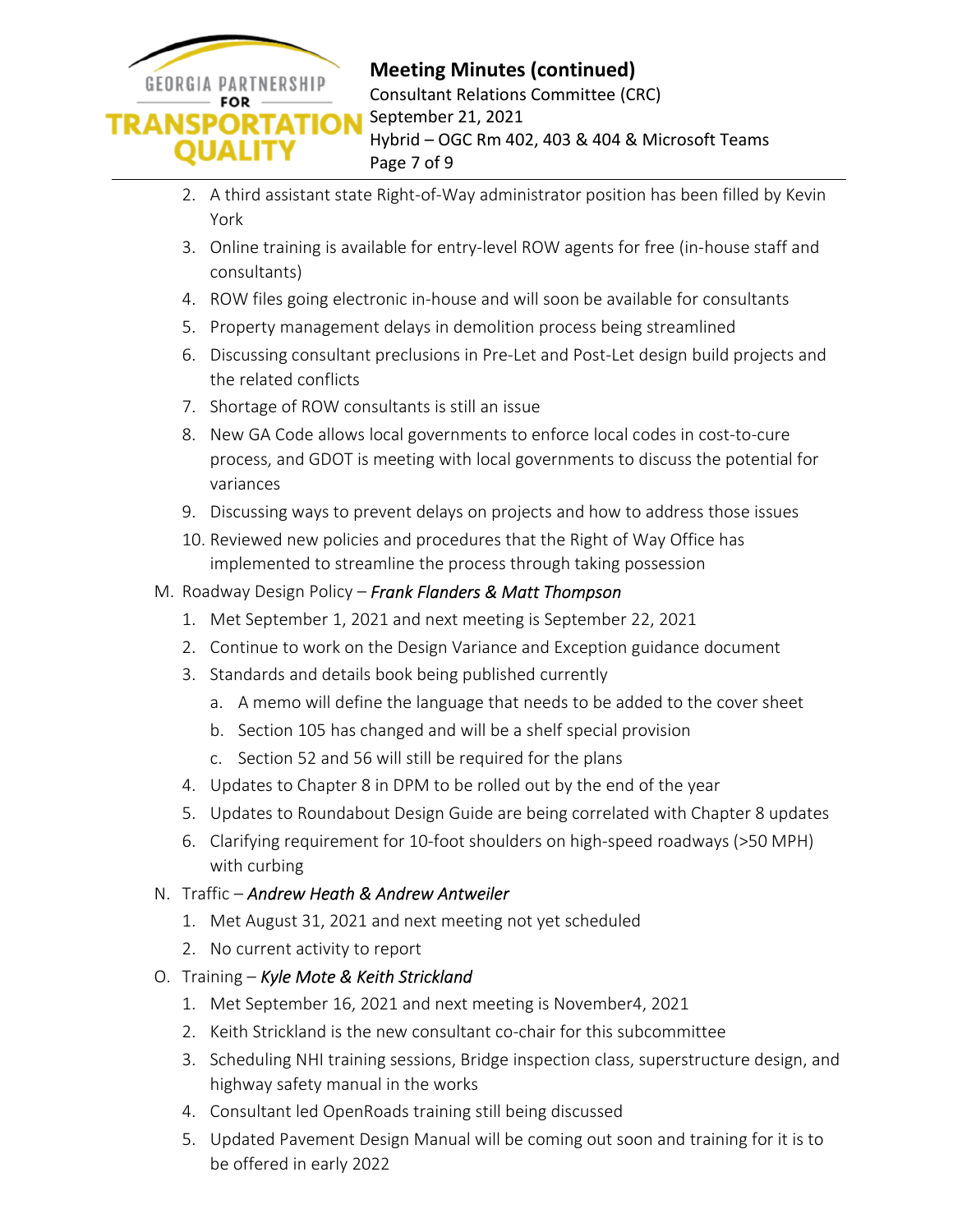

- 2. A third assistant state Right-of-Way administrator position has been filled by Kevin York
- 3. Online training is available for entry-level ROW agents for free (in-house staff and consultants)
- 4. ROW files going electronic in-house and will soon be available for consultants
- 5. Property management delays in demolition process being streamlined
- 6. Discussing consultant preclusions in Pre-Let and Post-Let design build projects and the related conflicts
- 7. Shortage of ROW consultants is still an issue
- 8. New GA Code allows local governments to enforce local codes in cost-to-cure process, and GDOT is meeting with local governments to discuss the potential for variances
- 9. Discussing ways to prevent delays on projects and how to address those issues
- 10. Reviewed new policies and procedures that the Right of Way Office has implemented to streamline the process through taking possession
- M. Roadway Design Policy *Frank Flanders & Matt Thompson* 
	- 1. Met September 1, 2021 and next meeting is September 22, 2021
	- 2. Continue to work on the Design Variance and Exception guidance document
	- 3. Standards and details book being published currently
		- a. A memo will define the language that needs to be added to the cover sheet
		- b. Section 105 has changed and will be a shelf special provision
		- c. Section 52 and 56 will still be required for the plans
	- 4. Updates to Chapter 8 in DPM to be rolled out by the end of the year
	- 5. Updates to Roundabout Design Guide are being correlated with Chapter 8 updates
	- 6. Clarifying requirement for 10-foot shoulders on high-speed roadways (>50 MPH) with curbing
- N. Traffic *Andrew Heath & Andrew Antweiler* 
	- 1. Met August 31, 2021 and next meeting not yet scheduled
	- 2. No current activity to report
- O. Training *Kyle Mote & Keith Strickland* 
	- 1. Met September 16, 2021 and next meeting is November4, 2021
	- 2. Keith Strickland is the new consultant co-chair for this subcommittee
	- 3. Scheduling NHI training sessions, Bridge inspection class, superstructure design, and highway safety manual in the works
	- 4. Consultant led OpenRoads training still being discussed
	- 5. Updated Pavement Design Manual will be coming out soon and training for it is to be offered in early 2022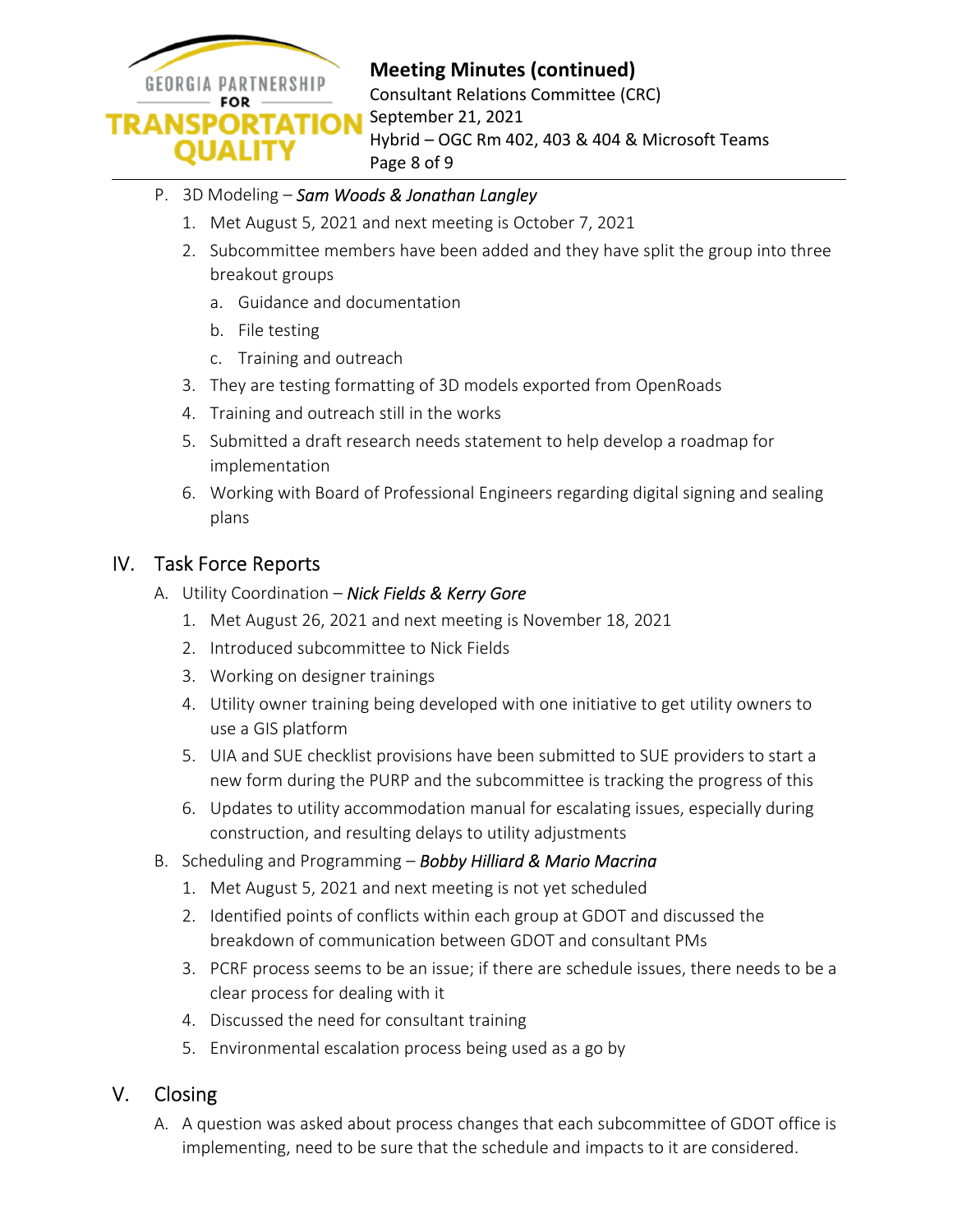

# **Meeting Minutes (continued)**

Consultant Relations Committee (CRC) September 21, 2021 Hybrid – OGC Rm 402, 403 & 404 & Microsoft Teams Page 8 of 9

#### P. 3D Modeling – *Sam Woods & Jonathan Langley*

- 1. Met August 5, 2021 and next meeting is October 7, 2021
- 2. Subcommittee members have been added and they have split the group into three breakout groups
	- a. Guidance and documentation
	- b. File testing
	- c. Training and outreach
- 3. They are testing formatting of 3D models exported from OpenRoads
- 4. Training and outreach still in the works
- 5. Submitted a draft research needs statement to help develop a roadmap for implementation
- 6. Working with Board of Professional Engineers regarding digital signing and sealing plans

## IV. Task Force Reports

- A. Utility Coordination *Nick Fields & Kerry Gore* 
	- 1. Met August 26, 2021 and next meeting is November 18, 2021
	- 2. Introduced subcommittee to Nick Fields
	- 3. Working on designer trainings
	- 4. Utility owner training being developed with one initiative to get utility owners to use a GIS platform
	- 5. UIA and SUE checklist provisions have been submitted to SUE providers to start a new form during the PURP and the subcommittee is tracking the progress of this
	- 6. Updates to utility accommodation manual for escalating issues, especially during construction, and resulting delays to utility adjustments
- B. Scheduling and Programming *Bobby Hilliard & Mario Macrina* 
	- 1. Met August 5, 2021 and next meeting is not yet scheduled
	- 2. Identified points of conflicts within each group at GDOT and discussed the breakdown of communication between GDOT and consultant PMs
	- 3. PCRF process seems to be an issue; if there are schedule issues, there needs to be a clear process for dealing with it
	- 4. Discussed the need for consultant training
	- 5. Environmental escalation process being used as a go by

### V. Closing

A. A question was asked about process changes that each subcommittee of GDOT office is implementing, need to be sure that the schedule and impacts to it are considered.